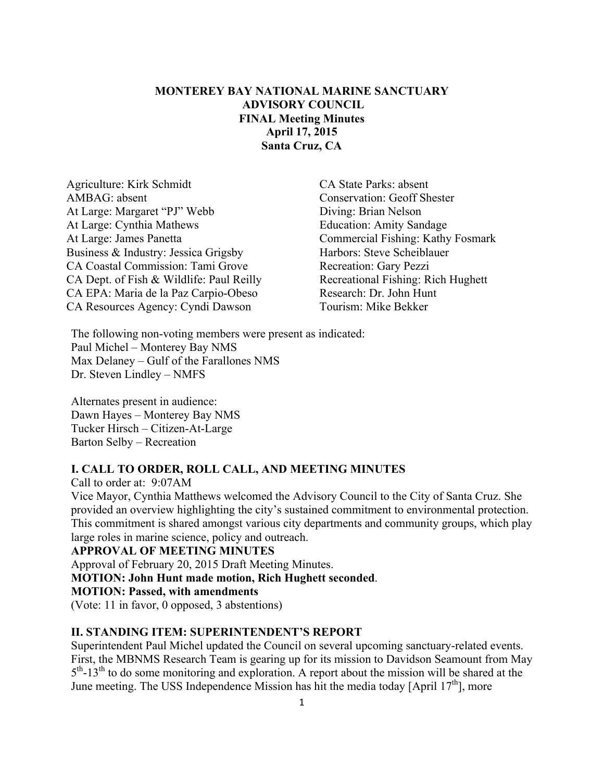## **MONTEREY BAY NATIONAL MARINE SANCTUARY ADVISORY COUNCIL FINAL Meeting Minutes April 17, 2015 Santa Cruz, CA**

Agriculture: Kirk Schmidt CA State Parks: absent AMBAG: absent Conservation: Geoff Shester At Large: Margaret "PJ" Webb Diving: Brian Nelson At Large: Cynthia Mathews Education: Amity Sandage At Large: James Panetta Commercial Fishing: Kathy Fosmark Business & Industry: Jessica Grigsby Harbors: Steve Scheiblauer CA Coastal Commission: Tami Grove Recreation: Gary Pezzi CA Dept. of Fish & Wildlife: Paul Reilly Recreational Fishing: Rich Hughett CA EPA: Maria de la Paz Carpio-Obeso Research: Dr. John Hunt CA Resources Agency: Cyndi Dawson Tourism: Mike Bekker

The following non-voting members were present as indicated: Paul Michel – Monterey Bay NMS Max Delaney – Gulf of the Farallones NMS Dr. Steven Lindley – NMFS

Alternates present in audience: Dawn Hayes – Monterey Bay NMS Tucker Hirsch – Citizen-At-Large Barton Selby – Recreation

## **I. CALL TO ORDER, ROLL CALL, AND MEETING MINUTES**

Call to order at: 9:07AM

Vice Mayor, Cynthia Matthews welcomed the Advisory Council to the City of Santa Cruz. She provided an overview highlighting the city's sustained commitment to environmental protection. This commitment is shared amongst various city departments and community groups, which play large roles in marine science, policy and outreach.

#### **APPROVAL OF MEETING MINUTES**

Approval of February 20, 2015 Draft Meeting Minutes. **MOTION: John Hunt made motion, Rich Hughett seconded**. **MOTION: Passed, with amendments** (Vote: 11 in favor, 0 opposed, 3 abstentions)

#### **II. STANDING ITEM: SUPERINTENDENT'S REPORT**

Superintendent Paul Michel updated the Council on several upcoming sanctuary-related events. First, the MBNMS Research Team is gearing up for its mission to Davidson Seamount from May  $5<sup>th</sup> - 13<sup>th</sup>$  to do some monitoring and exploration. A report about the mission will be shared at the June meeting. The USS Independence Mission has hit the media today [April  $17<sup>th</sup>$ ], more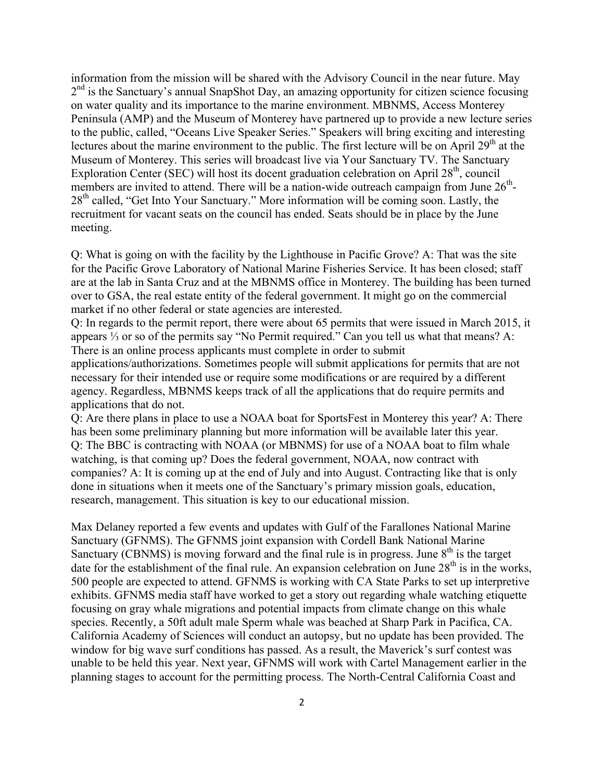information from the mission will be shared with the Advisory Council in the near future. May  $2<sup>nd</sup>$  is the Sanctuary's annual SnapShot Day, an amazing opportunity for citizen science focusing on water quality and its importance to the marine environment. MBNMS, Access Monterey Peninsula (AMP) and the Museum of Monterey have partnered up to provide a new lecture series to the public, called, "Oceans Live Speaker Series." Speakers will bring exciting and interesting lectures about the marine environment to the public. The first lecture will be on April  $29<sup>th</sup>$  at the Museum of Monterey. This series will broadcast live via Your Sanctuary TV. The Sanctuary Exploration Center (SEC) will host its docent graduation celebration on April 28<sup>th</sup>, council members are invited to attend. There will be a nation-wide outreach campaign from June  $26<sup>th</sup>$ -28<sup>th</sup> called, "Get Into Your Sanctuary." More information will be coming soon. Lastly, the recruitment for vacant seats on the council has ended. Seats should be in place by the June meeting.

Q: What is going on with the facility by the Lighthouse in Pacific Grove? A: That was the site for the Pacific Grove Laboratory of National Marine Fisheries Service. It has been closed; staff are at the lab in Santa Cruz and at the MBNMS office in Monterey. The building has been turned over to GSA, the real estate entity of the federal government. It might go on the commercial market if no other federal or state agencies are interested.

Q: In regards to the permit report, there were about 65 permits that were issued in March 2015, it appears ⅓ or so of the permits say "No Permit required." Can you tell us what that means? A: There is an online process applicants must complete in order to submit

applications/authorizations. Sometimes people will submit applications for permits that are not necessary for their intended use or require some modifications or are required by a different agency. Regardless, MBNMS keeps track of all the applications that do require permits and applications that do not.

Q: Are there plans in place to use a NOAA boat for SportsFest in Monterey this year? A: There has been some preliminary planning but more information will be available later this year. Q: The BBC is contracting with NOAA (or MBNMS) for use of a NOAA boat to film whale watching, is that coming up? Does the federal government, NOAA, now contract with companies? A: It is coming up at the end of July and into August. Contracting like that is only done in situations when it meets one of the Sanctuary's primary mission goals, education, research, management. This situation is key to our educational mission.

Max Delaney reported a few events and updates with Gulf of the Farallones National Marine Sanctuary (GFNMS). The GFNMS joint expansion with Cordell Bank National Marine Sanctuary (CBNMS) is moving forward and the final rule is in progress. June  $8<sup>th</sup>$  is the target date for the establishment of the final rule. An expansion celebration on June  $28<sup>th</sup>$  is in the works, 500 people are expected to attend. GFNMS is working with CA State Parks to set up interpretive exhibits. GFNMS media staff have worked to get a story out regarding whale watching etiquette focusing on gray whale migrations and potential impacts from climate change on this whale species. Recently, a 50ft adult male Sperm whale was beached at Sharp Park in Pacifica, CA. California Academy of Sciences will conduct an autopsy, but no update has been provided. The window for big wave surf conditions has passed. As a result, the Maverick's surf contest was unable to be held this year. Next year, GFNMS will work with Cartel Management earlier in the planning stages to account for the permitting process. The North-Central California Coast and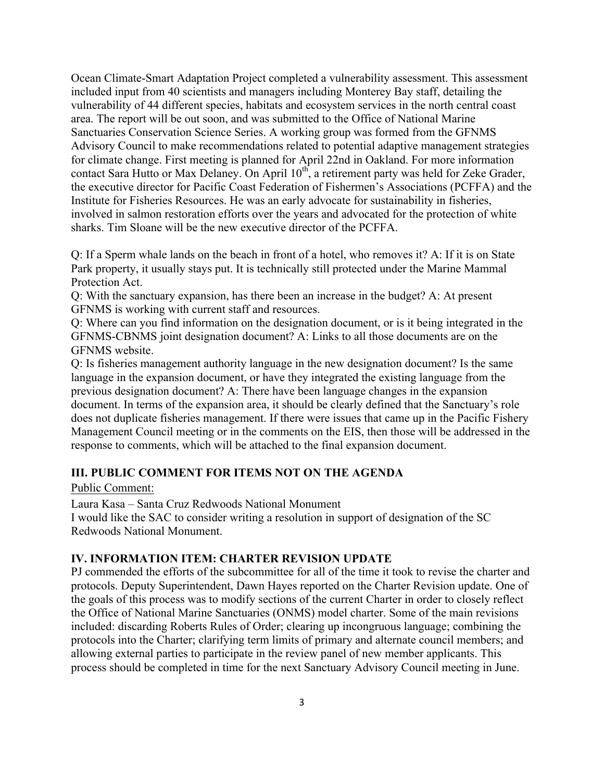Ocean Climate-Smart Adaptation Project completed a vulnerability assessment. This assessment included input from 40 scientists and managers including Monterey Bay staff, detailing the vulnerability of 44 different species, habitats and ecosystem services in the north central coast area. The report will be out soon, and was submitted to the Office of National Marine Sanctuaries Conservation Science Series. A working group was formed from the GFNMS Advisory Council to make recommendations related to potential adaptive management strategies for climate change. First meeting is planned for April 22nd in Oakland. For more information contact Sara Hutto or Max Delaney. On April 10<sup>th</sup>, a retirement party was held for Zeke Grader, the executive director for Pacific Coast Federation of Fishermen's Associations (PCFFA) and the Institute for Fisheries Resources. He was an early advocate for sustainability in fisheries, involved in salmon restoration efforts over the years and advocated for the protection of white sharks. Tim Sloane will be the new executive director of the PCFFA.

Q: If a Sperm whale lands on the beach in front of a hotel, who removes it? A: If it is on State Park property, it usually stays put. It is technically still protected under the Marine Mammal Protection Act.

Q: With the sanctuary expansion, has there been an increase in the budget? A: At present GFNMS is working with current staff and resources.

Q: Where can you find information on the designation document, or is it being integrated in the GFNMS-CBNMS joint designation document? A: Links to all those documents are on the GFNMS website.

Q: Is fisheries management authority language in the new designation document? Is the same language in the expansion document, or have they integrated the existing language from the previous designation document? A: There have been language changes in the expansion document. In terms of the expansion area, it should be clearly defined that the Sanctuary's role does not duplicate fisheries management. If there were issues that came up in the Pacific Fishery Management Council meeting or in the comments on the EIS, then those will be addressed in the response to comments, which will be attached to the final expansion document.

## **III. PUBLIC COMMENT FOR ITEMS NOT ON THE AGENDA**

#### Public Comment:

Laura Kasa – Santa Cruz Redwoods National Monument

I would like the SAC to consider writing a resolution in support of designation of the SC Redwoods National Monument.

#### **IV. INFORMATION ITEM: CHARTER REVISION UPDATE**

PJ commended the efforts of the subcommittee for all of the time it took to revise the charter and protocols. Deputy Superintendent, Dawn Hayes reported on the Charter Revision update. One of the goals of this process was to modify sections of the current Charter in order to closely reflect the Office of National Marine Sanctuaries (ONMS) model charter. Some of the main revisions included: discarding Roberts Rules of Order; clearing up incongruous language; combining the protocols into the Charter; clarifying term limits of primary and alternate council members; and allowing external parties to participate in the review panel of new member applicants. This process should be completed in time for the next Sanctuary Advisory Council meeting in June.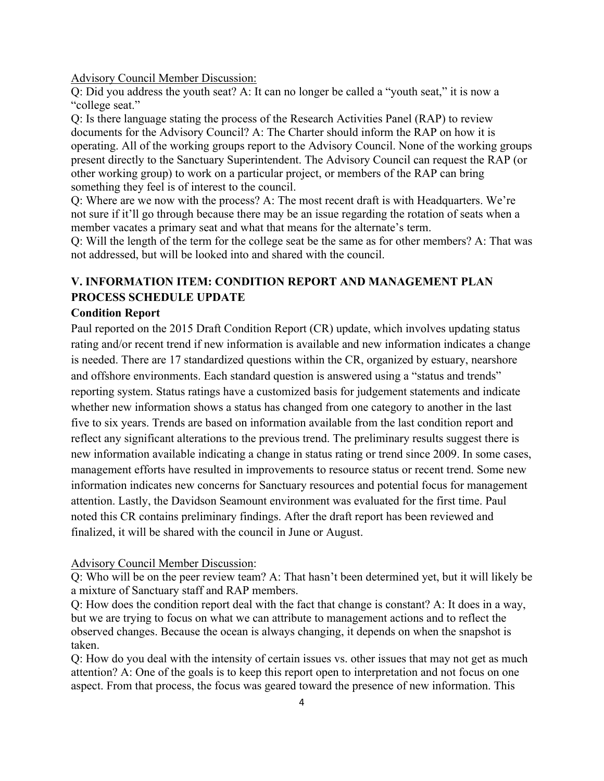Advisory Council Member Discussion:

Q: Did you address the youth seat? A: It can no longer be called a "youth seat," it is now a "college seat."

Q: Is there language stating the process of the Research Activities Panel (RAP) to review documents for the Advisory Council? A: The Charter should inform the RAP on how it is operating. All of the working groups report to the Advisory Council. None of the working groups present directly to the Sanctuary Superintendent. The Advisory Council can request the RAP (or other working group) to work on a particular project, or members of the RAP can bring something they feel is of interest to the council.

Q: Where are we now with the process? A: The most recent draft is with Headquarters. We're not sure if it'll go through because there may be an issue regarding the rotation of seats when a member vacates a primary seat and what that means for the alternate's term.

Q: Will the length of the term for the college seat be the same as for other members? A: That was not addressed, but will be looked into and shared with the council.

# **V. INFORMATION ITEM: CONDITION REPORT AND MANAGEMENT PLAN PROCESS SCHEDULE UPDATE**

#### **Condition Report**

Paul reported on the 2015 Draft Condition Report (CR) update, which involves updating status rating and/or recent trend if new information is available and new information indicates a change is needed. There are 17 standardized questions within the CR, organized by estuary, nearshore and offshore environments. Each standard question is answered using a "status and trends" reporting system. Status ratings have a customized basis for judgement statements and indicate whether new information shows a status has changed from one category to another in the last five to six years. Trends are based on information available from the last condition report and reflect any significant alterations to the previous trend. The preliminary results suggest there is new information available indicating a change in status rating or trend since 2009. In some cases, management efforts have resulted in improvements to resource status or recent trend. Some new information indicates new concerns for Sanctuary resources and potential focus for management attention. Lastly, the Davidson Seamount environment was evaluated for the first time. Paul noted this CR contains preliminary findings. After the draft report has been reviewed and finalized, it will be shared with the council in June or August.

#### Advisory Council Member Discussion:

Q: Who will be on the peer review team? A: That hasn't been determined yet, but it will likely be a mixture of Sanctuary staff and RAP members.

Q: How does the condition report deal with the fact that change is constant? A: It does in a way, but we are trying to focus on what we can attribute to management actions and to reflect the observed changes. Because the ocean is always changing, it depends on when the snapshot is taken.

Q: How do you deal with the intensity of certain issues vs. other issues that may not get as much attention? A: One of the goals is to keep this report open to interpretation and not focus on one aspect. From that process, the focus was geared toward the presence of new information. This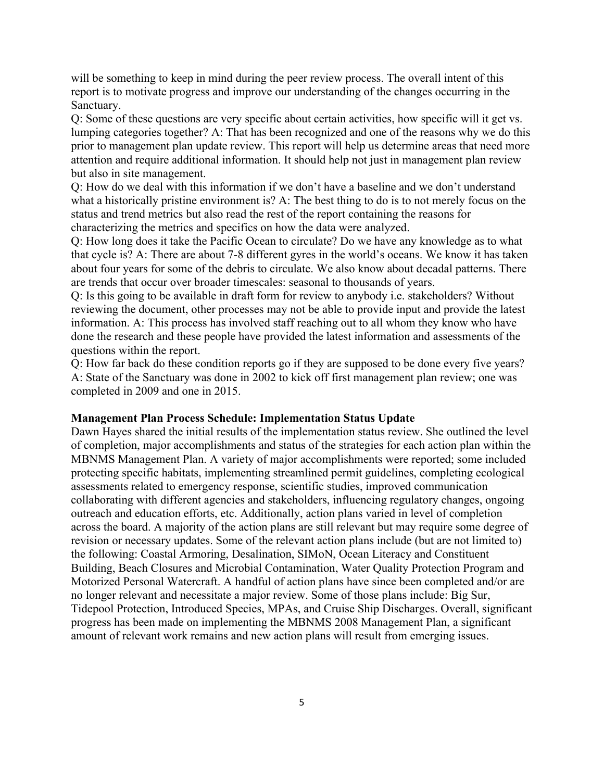will be something to keep in mind during the peer review process. The overall intent of this report is to motivate progress and improve our understanding of the changes occurring in the Sanctuary.

Q: Some of these questions are very specific about certain activities, how specific will it get vs. lumping categories together? A: That has been recognized and one of the reasons why we do this prior to management plan update review. This report will help us determine areas that need more attention and require additional information. It should help not just in management plan review but also in site management.

Q: How do we deal with this information if we don't have a baseline and we don't understand what a historically pristine environment is? A: The best thing to do is to not merely focus on the status and trend metrics but also read the rest of the report containing the reasons for characterizing the metrics and specifics on how the data were analyzed.

Q: How long does it take the Pacific Ocean to circulate? Do we have any knowledge as to what that cycle is? A: There are about 7-8 different gyres in the world's oceans. We know it has taken about four years for some of the debris to circulate. We also know about decadal patterns. There are trends that occur over broader timescales: seasonal to thousands of years.

Q: Is this going to be available in draft form for review to anybody i.e. stakeholders? Without reviewing the document, other processes may not be able to provide input and provide the latest information. A: This process has involved staff reaching out to all whom they know who have done the research and these people have provided the latest information and assessments of the questions within the report.

Q: How far back do these condition reports go if they are supposed to be done every five years? A: State of the Sanctuary was done in 2002 to kick off first management plan review; one was completed in 2009 and one in 2015.

## **Management Plan Process Schedule: Implementation Status Update**

Dawn Hayes shared the initial results of the implementation status review. She outlined the level of completion, major accomplishments and status of the strategies for each action plan within the MBNMS Management Plan. A variety of major accomplishments were reported; some included protecting specific habitats, implementing streamlined permit guidelines, completing ecological assessments related to emergency response, scientific studies, improved communication collaborating with different agencies and stakeholders, influencing regulatory changes, ongoing outreach and education efforts, etc. Additionally, action plans varied in level of completion across the board. A majority of the action plans are still relevant but may require some degree of revision or necessary updates. Some of the relevant action plans include (but are not limited to) the following: Coastal Armoring, Desalination, SIMoN, Ocean Literacy and Constituent Building, Beach Closures and Microbial Contamination, Water Quality Protection Program and Motorized Personal Watercraft. A handful of action plans have since been completed and/or are no longer relevant and necessitate a major review. Some of those plans include: Big Sur, Tidepool Protection, Introduced Species, MPAs, and Cruise Ship Discharges. Overall, significant progress has been made on implementing the MBNMS 2008 Management Plan, a significant amount of relevant work remains and new action plans will result from emerging issues.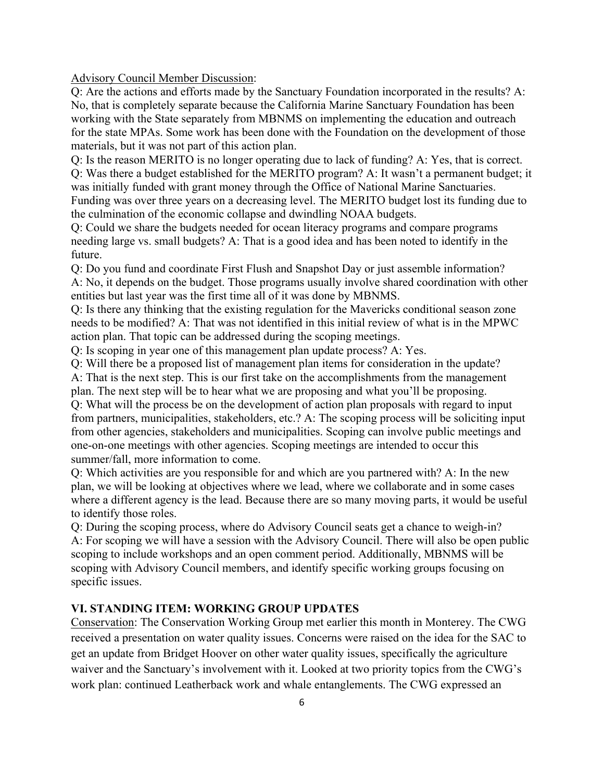Advisory Council Member Discussion:

Q: Are the actions and efforts made by the Sanctuary Foundation incorporated in the results? A: No, that is completely separate because the California Marine Sanctuary Foundation has been working with the State separately from MBNMS on implementing the education and outreach for the state MPAs. Some work has been done with the Foundation on the development of those materials, but it was not part of this action plan.

Q: Is the reason MERITO is no longer operating due to lack of funding? A: Yes, that is correct. Q: Was there a budget established for the MERITO program? A: It wasn't a permanent budget; it was initially funded with grant money through the Office of National Marine Sanctuaries. Funding was over three years on a decreasing level. The MERITO budget lost its funding due to the culmination of the economic collapse and dwindling NOAA budgets.

Q: Could we share the budgets needed for ocean literacy programs and compare programs needing large vs. small budgets? A: That is a good idea and has been noted to identify in the future.

Q: Do you fund and coordinate First Flush and Snapshot Day or just assemble information? A: No, it depends on the budget. Those programs usually involve shared coordination with other entities but last year was the first time all of it was done by MBNMS.

Q: Is there any thinking that the existing regulation for the Mavericks conditional season zone needs to be modified? A: That was not identified in this initial review of what is in the MPWC action plan. That topic can be addressed during the scoping meetings.

Q: Is scoping in year one of this management plan update process? A: Yes.

Q: Will there be a proposed list of management plan items for consideration in the update?

A: That is the next step. This is our first take on the accomplishments from the management plan. The next step will be to hear what we are proposing and what you'll be proposing.

Q: What will the process be on the development of action plan proposals with regard to input from partners, municipalities, stakeholders, etc.? A: The scoping process will be soliciting input from other agencies, stakeholders and municipalities. Scoping can involve public meetings and one-on-one meetings with other agencies. Scoping meetings are intended to occur this summer/fall, more information to come.

Q: Which activities are you responsible for and which are you partnered with? A: In the new plan, we will be looking at objectives where we lead, where we collaborate and in some cases where a different agency is the lead. Because there are so many moving parts, it would be useful to identify those roles.

Q: During the scoping process, where do Advisory Council seats get a chance to weigh-in? A: For scoping we will have a session with the Advisory Council. There will also be open public scoping to include workshops and an open comment period. Additionally, MBNMS will be scoping with Advisory Council members, and identify specific working groups focusing on specific issues.

## **VI. STANDING ITEM: WORKING GROUP UPDATES**

Conservation: The Conservation Working Group met earlier this month in Monterey. The CWG received a presentation on water quality issues. Concerns were raised on the idea for the SAC to get an update from Bridget Hoover on other water quality issues, specifically the agriculture waiver and the Sanctuary's involvement with it. Looked at two priority topics from the CWG's work plan: continued Leatherback work and whale entanglements. The CWG expressed an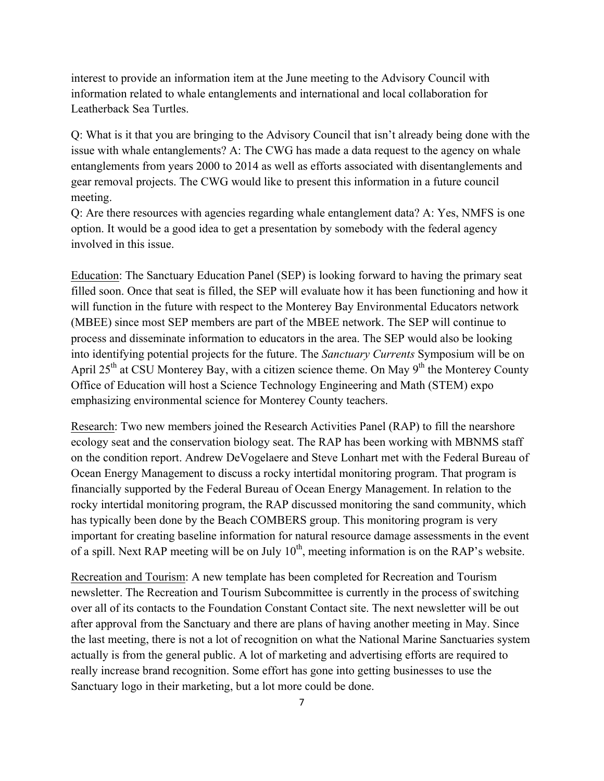interest to provide an information item at the June meeting to the Advisory Council with information related to whale entanglements and international and local collaboration for Leatherback Sea Turtles.

Q: What is it that you are bringing to the Advisory Council that isn't already being done with the issue with whale entanglements? A: The CWG has made a data request to the agency on whale entanglements from years 2000 to 2014 as well as efforts associated with disentanglements and gear removal projects. The CWG would like to present this information in a future council meeting.

Q: Are there resources with agencies regarding whale entanglement data? A: Yes, NMFS is one option. It would be a good idea to get a presentation by somebody with the federal agency involved in this issue.

Education: The Sanctuary Education Panel (SEP) is looking forward to having the primary seat filled soon. Once that seat is filled, the SEP will evaluate how it has been functioning and how it will function in the future with respect to the Monterey Bay Environmental Educators network (MBEE) since most SEP members are part of the MBEE network. The SEP will continue to process and disseminate information to educators in the area. The SEP would also be looking into identifying potential projects for the future. The *Sanctuary Currents* Symposium will be on April 25<sup>th</sup> at CSU Monterey Bay, with a citizen science theme. On May 9<sup>th</sup> the Monterey County Office of Education will host a Science Technology Engineering and Math (STEM) expo emphasizing environmental science for Monterey County teachers.

Research: Two new members joined the Research Activities Panel (RAP) to fill the nearshore ecology seat and the conservation biology seat. The RAP has been working with MBNMS staff on the condition report. Andrew DeVogelaere and Steve Lonhart met with the Federal Bureau of Ocean Energy Management to discuss a rocky intertidal monitoring program. That program is financially supported by the Federal Bureau of Ocean Energy Management. In relation to the rocky intertidal monitoring program, the RAP discussed monitoring the sand community, which has typically been done by the Beach COMBERS group. This monitoring program is very important for creating baseline information for natural resource damage assessments in the event of a spill. Next RAP meeting will be on July 10<sup>th</sup>, meeting information is on the RAP's website.

Recreation and Tourism: A new template has been completed for Recreation and Tourism newsletter. The Recreation and Tourism Subcommittee is currently in the process of switching over all of its contacts to the Foundation Constant Contact site. The next newsletter will be out after approval from the Sanctuary and there are plans of having another meeting in May. Since the last meeting, there is not a lot of recognition on what the National Marine Sanctuaries system actually is from the general public. A lot of marketing and advertising efforts are required to really increase brand recognition. Some effort has gone into getting businesses to use the Sanctuary logo in their marketing, but a lot more could be done.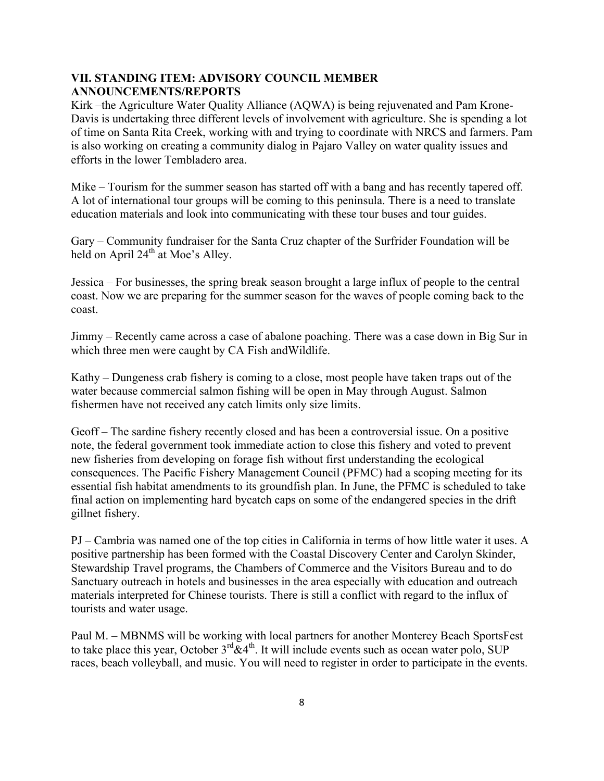## **VII. STANDING ITEM: ADVISORY COUNCIL MEMBER ANNOUNCEMENTS/REPORTS**

Kirk –the Agriculture Water Quality Alliance (AQWA) is being rejuvenated and Pam Krone-Davis is undertaking three different levels of involvement with agriculture. She is spending a lot of time on Santa Rita Creek, working with and trying to coordinate with NRCS and farmers. Pam is also working on creating a community dialog in Pajaro Valley on water quality issues and efforts in the lower Tembladero area.

Mike – Tourism for the summer season has started off with a bang and has recently tapered off. A lot of international tour groups will be coming to this peninsula. There is a need to translate education materials and look into communicating with these tour buses and tour guides.

Gary – Community fundraiser for the Santa Cruz chapter of the Surfrider Foundation will be held on April  $24<sup>th</sup>$  at Moe's Alley.

Jessica – For businesses, the spring break season brought a large influx of people to the central coast. Now we are preparing for the summer season for the waves of people coming back to the coast.

Jimmy – Recently came across a case of abalone poaching. There was a case down in Big Sur in which three men were caught by CA Fish andWildlife.

Kathy – Dungeness crab fishery is coming to a close, most people have taken traps out of the water because commercial salmon fishing will be open in May through August. Salmon fishermen have not received any catch limits only size limits.

Geoff – The sardine fishery recently closed and has been a controversial issue. On a positive note, the federal government took immediate action to close this fishery and voted to prevent new fisheries from developing on forage fish without first understanding the ecological consequences. The Pacific Fishery Management Council (PFMC) had a scoping meeting for its essential fish habitat amendments to its groundfish plan. In June, the PFMC is scheduled to take final action on implementing hard bycatch caps on some of the endangered species in the drift gillnet fishery.

PJ – Cambria was named one of the top cities in California in terms of how little water it uses. A positive partnership has been formed with the Coastal Discovery Center and Carolyn Skinder, Stewardship Travel programs, the Chambers of Commerce and the Visitors Bureau and to do Sanctuary outreach in hotels and businesses in the area especially with education and outreach materials interpreted for Chinese tourists. There is still a conflict with regard to the influx of tourists and water usage.

Paul M. – MBNMS will be working with local partners for another Monterey Beach SportsFest to take place this year, October  $3^{rd}\&4^{th}$ . It will include events such as ocean water polo, SUP races, beach volleyball, and music. You will need to register in order to participate in the events.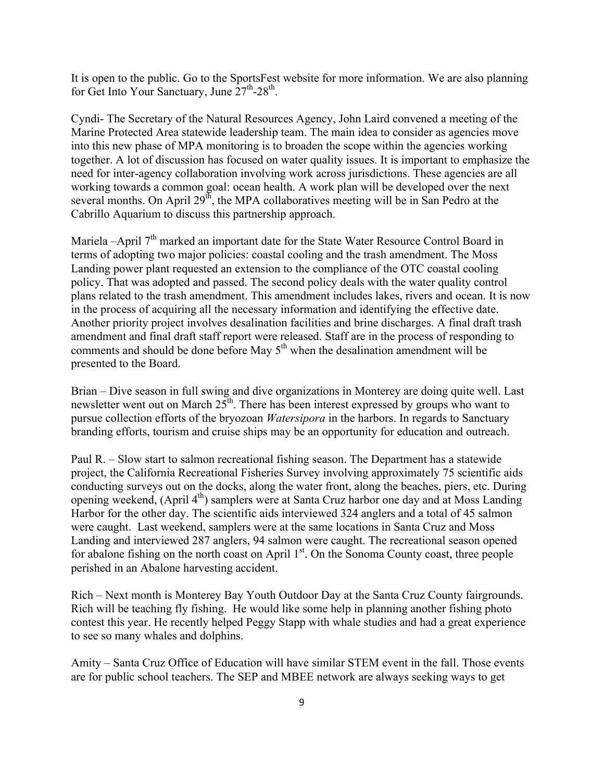It is open to the public. Go to the SportsFest website for more information. We are also planning for Get Into Your Sanctuary, June  $27<sup>th</sup>$ -28<sup>th</sup>.

Cyndi- The Secretary of the Natural Resources Agency, John Laird convened a meeting of the Marine Protected Area statewide leadership team. The main idea to consider as agencies move into this new phase of MPA monitoring is to broaden the scope within the agencies working together. A lot of discussion has focused on water quality issues. It is important to emphasize the need for inter-agency collaboration involving work across jurisdictions. These agencies are all working towards a common goal: ocean health. A work plan will be developed over the next several months. On April  $29<sup>th</sup>$ , the MPA collaboratives meeting will be in San Pedro at the Cabrillo Aquarium to discuss this partnership approach.

Mariela –April 7<sup>th</sup> marked an important date for the State Water Resource Control Board in terms of adopting two major policies: coastal cooling and the trash amendment. The Moss Landing power plant requested an extension to the compliance of the OTC coastal cooling policy. That was adopted and passed. The second policy deals with the water quality control plans related to the trash amendment. This amendment includes lakes, rivers and ocean. It is now in the process of acquiring all the necessary information and identifying the effective date. Another priority project involves desalination facilities and brine discharges. A final draft trash amendment and final draft staff report were released. Staff are in the process of responding to comments and should be done before May  $5<sup>th</sup>$  when the desalination amendment will be presented to the Board.

Brian – Dive season in full swing and dive organizations in Monterey are doing quite well. Last newsletter went out on March  $25<sup>th</sup>$ . There has been interest expressed by groups who want to pursue collection efforts of the bryozoan *Watersipora* in the harbors. In regards to Sanctuary branding efforts, tourism and cruise ships may be an opportunity for education and outreach.

Paul R. – Slow start to salmon recreational fishing season. The Department has a statewide project, the California Recreational Fisheries Survey involving approximately 75 scientific aids conducting surveys out on the docks, along the water front, along the beaches, piers, etc. During opening weekend, (April 4<sup>th</sup>) samplers were at Santa Cruz harbor one day and at Moss Landing Harbor for the other day. The scientific aids interviewed 324 anglers and a total of 45 salmon were caught. Last weekend, samplers were at the same locations in Santa Cruz and Moss Landing and interviewed 287 anglers, 94 salmon were caught. The recreational season opened for abalone fishing on the north coast on April 1<sup>st</sup>. On the Sonoma County coast, three people perished in an Abalone harvesting accident.

Rich – Next month is Monterey Bay Youth Outdoor Day at the Santa Cruz County fairgrounds. Rich will be teaching fly fishing. He would like some help in planning another fishing photo contest this year. He recently helped Peggy Stapp with whale studies and had a great experience to see so many whales and dolphins.

Amity – Santa Cruz Office of Education will have similar STEM event in the fall. Those events are for public school teachers. The SEP and MBEE network are always seeking ways to get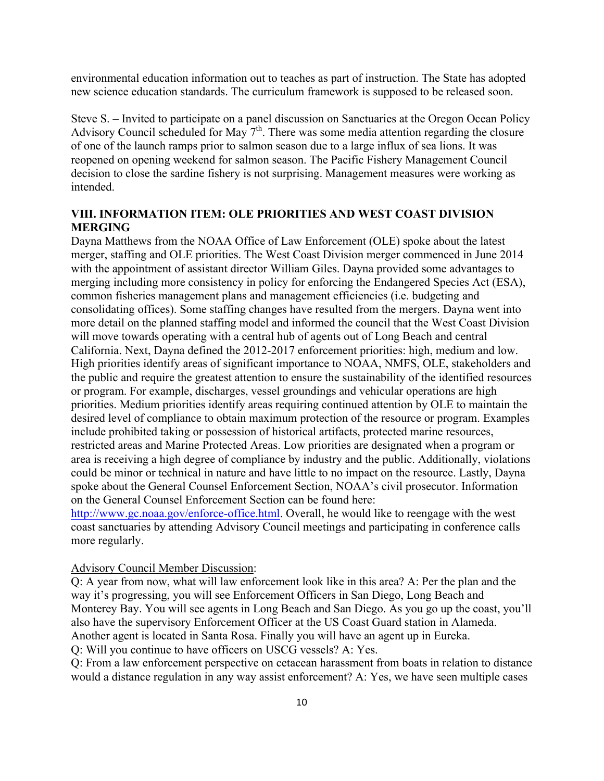environmental education information out to teaches as part of instruction. The State has adopted new science education standards. The curriculum framework is supposed to be released soon.

Steve S. – Invited to participate on a panel discussion on Sanctuaries at the Oregon Ocean Policy Advisory Council scheduled for May  $7<sup>th</sup>$ . There was some media attention regarding the closure of one of the launch ramps prior to salmon season due to a large influx of sea lions. It was reopened on opening weekend for salmon season. The Pacific Fishery Management Council decision to close the sardine fishery is not surprising. Management measures were working as intended.

## **VIII. INFORMATION ITEM: OLE PRIORITIES AND WEST COAST DIVISION MERGING**

Dayna Matthews from the NOAA Office of Law Enforcement (OLE) spoke about the latest merger, staffing and OLE priorities. The West Coast Division merger commenced in June 2014 with the appointment of assistant director William Giles. Dayna provided some advantages to merging including more consistency in policy for enforcing the Endangered Species Act (ESA), common fisheries management plans and management efficiencies (i.e. budgeting and consolidating offices). Some staffing changes have resulted from the mergers. Dayna went into more detail on the planned staffing model and informed the council that the West Coast Division will move towards operating with a central hub of agents out of Long Beach and central California. Next, Dayna defined the 2012-2017 enforcement priorities: high, medium and low. High priorities identify areas of significant importance to NOAA, NMFS, OLE, stakeholders and the public and require the greatest attention to ensure the sustainability of the identified resources or program. For example, discharges, vessel groundings and vehicular operations are high priorities. Medium priorities identify areas requiring continued attention by OLE to maintain the desired level of compliance to obtain maximum protection of the resource or program. Examples include prohibited taking or possession of historical artifacts, protected marine resources, restricted areas and Marine Protected Areas. Low priorities are designated when a program or area is receiving a high degree of compliance by industry and the public. Additionally, violations could be minor or technical in nature and have little to no impact on the resource. Lastly, Dayna spoke about the General Counsel Enforcement Section, NOAA's civil prosecutor. Information on the General Counsel Enforcement Section can be found here:

http://www.gc.noaa.gov/enforce-office.html. Overall, he would like to reengage with the west coast sanctuaries by attending Advisory Council meetings and participating in conference calls more regularly.

#### Advisory Council Member Discussion:

Q: A year from now, what will law enforcement look like in this area? A: Per the plan and the way it's progressing, you will see Enforcement Officers in San Diego, Long Beach and Monterey Bay. You will see agents in Long Beach and San Diego. As you go up the coast, you'll also have the supervisory Enforcement Officer at the US Coast Guard station in Alameda. Another agent is located in Santa Rosa. Finally you will have an agent up in Eureka.

Q: Will you continue to have officers on USCG vessels? A: Yes.

Q: From a law enforcement perspective on cetacean harassment from boats in relation to distance would a distance regulation in any way assist enforcement? A: Yes, we have seen multiple cases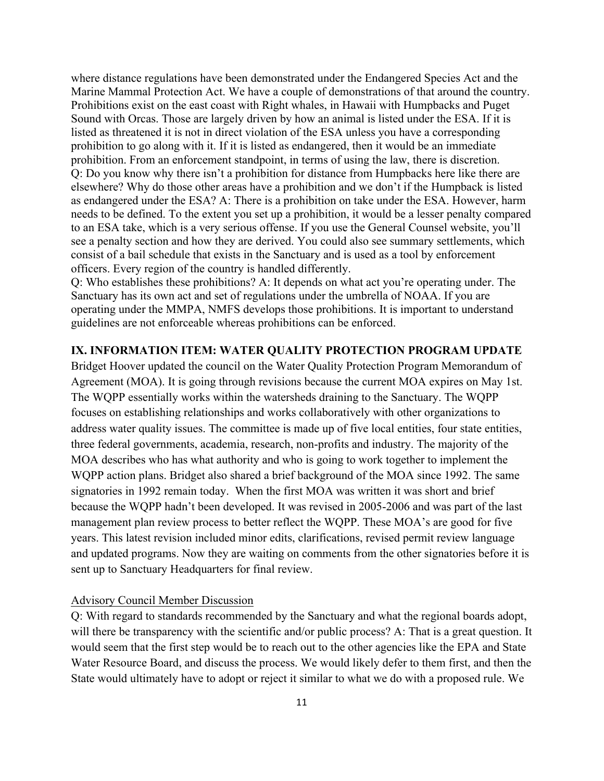where distance regulations have been demonstrated under the Endangered Species Act and the Marine Mammal Protection Act. We have a couple of demonstrations of that around the country. Prohibitions exist on the east coast with Right whales, in Hawaii with Humpbacks and Puget Sound with Orcas. Those are largely driven by how an animal is listed under the ESA. If it is listed as threatened it is not in direct violation of the ESA unless you have a corresponding prohibition to go along with it. If it is listed as endangered, then it would be an immediate prohibition. From an enforcement standpoint, in terms of using the law, there is discretion. Q: Do you know why there isn't a prohibition for distance from Humpbacks here like there are elsewhere? Why do those other areas have a prohibition and we don't if the Humpback is listed as endangered under the ESA? A: There is a prohibition on take under the ESA. However, harm needs to be defined. To the extent you set up a prohibition, it would be a lesser penalty compared to an ESA take, which is a very serious offense. If you use the General Counsel website, you'll see a penalty section and how they are derived. You could also see summary settlements, which consist of a bail schedule that exists in the Sanctuary and is used as a tool by enforcement officers. Every region of the country is handled differently.

Q: Who establishes these prohibitions? A: It depends on what act you're operating under. The Sanctuary has its own act and set of regulations under the umbrella of NOAA. If you are operating under the MMPA, NMFS develops those prohibitions. It is important to understand guidelines are not enforceable whereas prohibitions can be enforced.

#### **IX. INFORMATION ITEM: WATER QUALITY PROTECTION PROGRAM UPDATE**

Bridget Hoover updated the council on the Water Quality Protection Program Memorandum of Agreement (MOA). It is going through revisions because the current MOA expires on May 1st. The WQPP essentially works within the watersheds draining to the Sanctuary. The WQPP focuses on establishing relationships and works collaboratively with other organizations to address water quality issues. The committee is made up of five local entities, four state entities, three federal governments, academia, research, non-profits and industry. The majority of the MOA describes who has what authority and who is going to work together to implement the WQPP action plans. Bridget also shared a brief background of the MOA since 1992. The same signatories in 1992 remain today. When the first MOA was written it was short and brief because the WQPP hadn't been developed. It was revised in 2005-2006 and was part of the last management plan review process to better reflect the WQPP. These MOA's are good for five years. This latest revision included minor edits, clarifications, revised permit review language and updated programs. Now they are waiting on comments from the other signatories before it is sent up to Sanctuary Headquarters for final review.

#### Advisory Council Member Discussion

Q: With regard to standards recommended by the Sanctuary and what the regional boards adopt, will there be transparency with the scientific and/or public process? A: That is a great question. It would seem that the first step would be to reach out to the other agencies like the EPA and State Water Resource Board, and discuss the process. We would likely defer to them first, and then the State would ultimately have to adopt or reject it similar to what we do with a proposed rule. We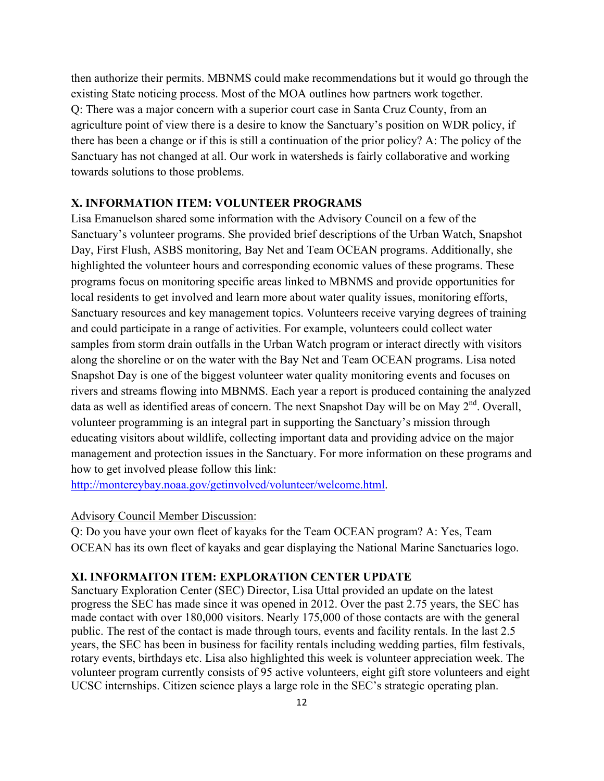then authorize their permits. MBNMS could make recommendations but it would go through the existing State noticing process. Most of the MOA outlines how partners work together. Q: There was a major concern with a superior court case in Santa Cruz County, from an agriculture point of view there is a desire to know the Sanctuary's position on WDR policy, if there has been a change or if this is still a continuation of the prior policy? A: The policy of the Sanctuary has not changed at all. Our work in watersheds is fairly collaborative and working towards solutions to those problems.

#### **X. INFORMATION ITEM: VOLUNTEER PROGRAMS**

Lisa Emanuelson shared some information with the Advisory Council on a few of the Sanctuary's volunteer programs. She provided brief descriptions of the Urban Watch, Snapshot Day, First Flush, ASBS monitoring, Bay Net and Team OCEAN programs. Additionally, she highlighted the volunteer hours and corresponding economic values of these programs. These programs focus on monitoring specific areas linked to MBNMS and provide opportunities for local residents to get involved and learn more about water quality issues, monitoring efforts, Sanctuary resources and key management topics. Volunteers receive varying degrees of training and could participate in a range of activities. For example, volunteers could collect water samples from storm drain outfalls in the Urban Watch program or interact directly with visitors along the shoreline or on the water with the Bay Net and Team OCEAN programs. Lisa noted Snapshot Day is one of the biggest volunteer water quality monitoring events and focuses on rivers and streams flowing into MBNMS. Each year a report is produced containing the analyzed data as well as identified areas of concern. The next Snapshot Day will be on May  $2<sup>nd</sup>$ . Overall, volunteer programming is an integral part in supporting the Sanctuary's mission through educating visitors about wildlife, collecting important data and providing advice on the major management and protection issues in the Sanctuary. For more information on these programs and how to get involved please follow this link:

http://montereybay.noaa.gov/getinvolved/volunteer/welcome.html.

#### Advisory Council Member Discussion:

Q: Do you have your own fleet of kayaks for the Team OCEAN program? A: Yes, Team OCEAN has its own fleet of kayaks and gear displaying the National Marine Sanctuaries logo.

## **XI. INFORMAITON ITEM: EXPLORATION CENTER UPDATE**

Sanctuary Exploration Center (SEC) Director, Lisa Uttal provided an update on the latest progress the SEC has made since it was opened in 2012. Over the past 2.75 years, the SEC has made contact with over 180,000 visitors. Nearly 175,000 of those contacts are with the general public. The rest of the contact is made through tours, events and facility rentals. In the last 2.5 years, the SEC has been in business for facility rentals including wedding parties, film festivals, rotary events, birthdays etc. Lisa also highlighted this week is volunteer appreciation week. The volunteer program currently consists of 95 active volunteers, eight gift store volunteers and eight UCSC internships. Citizen science plays a large role in the SEC's strategic operating plan.